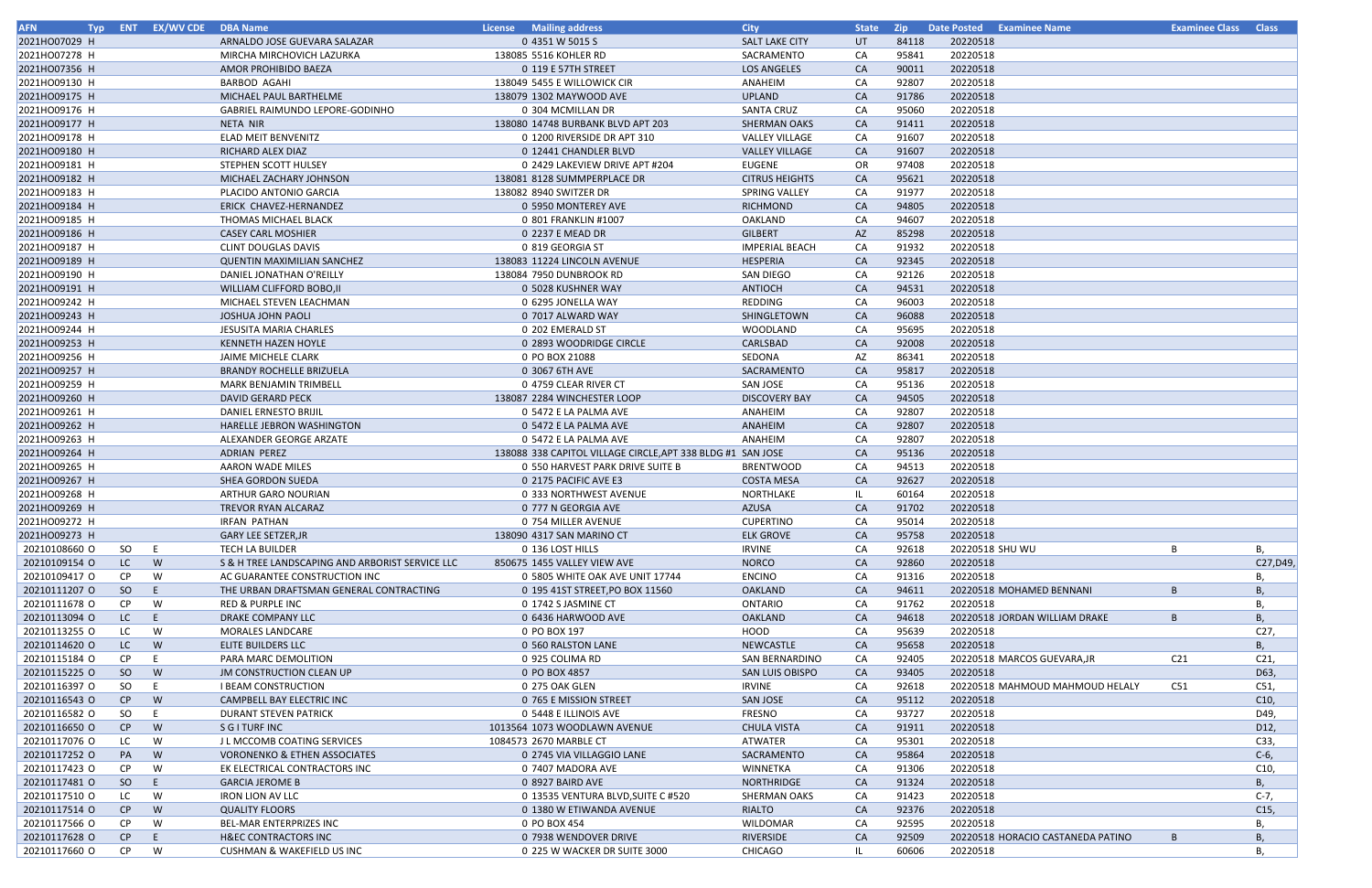| <b>AFN</b><br>Tvp : |           | <b>ENT EX/WV CDE DBA Name</b> |                                                 | <b>License</b> Mailing address                              | <b>City</b>            | <b>State</b> | Zip   | <b>Date Posted Examinee Name</b>  |                 | <b>Examinee Class Class</b> |
|---------------------|-----------|-------------------------------|-------------------------------------------------|-------------------------------------------------------------|------------------------|--------------|-------|-----------------------------------|-----------------|-----------------------------|
| 2021HO07029 H       |           |                               | ARNALDO JOSE GUEVARA SALAZAR                    | 0 4351 W 5015 S                                             | SALT LAKE CITY         | UT           | 84118 | 20220518                          |                 |                             |
| 2021HO07278 H       |           |                               | MIRCHA MIRCHOVICH LAZURKA                       | 138085 5516 KOHLER RD                                       | SACRAMENTO             | CA           | 95841 | 20220518                          |                 |                             |
| 2021HO07356 H       |           |                               | AMOR PROHIBIDO BAEZA                            | 0 119 E 57TH STREET                                         | LOS ANGELES            | CA           | 90011 | 20220518                          |                 |                             |
| 2021HO09130 H       |           |                               | <b>BARBOD AGAHI</b>                             | 138049 5455 E WILLOWICK CIR                                 | ANAHEIM                | CA           | 92807 | 20220518                          |                 |                             |
| 2021HO09175 H       |           |                               | MICHAEL PAUL BARTHELME                          | 138079 1302 MAYWOOD AVE                                     | <b>UPLAND</b>          | <b>CA</b>    | 91786 | 20220518                          |                 |                             |
| 2021HO09176 H       |           |                               | GABRIEL RAIMUNDO LEPORE-GODINHO                 | 0 304 MCMILLAN DR                                           | <b>SANTA CRUZ</b>      | CA           | 95060 | 20220518                          |                 |                             |
| 2021HO09177 H       |           |                               | NETA NIR                                        | 138080 14748 BURBANK BLVD APT 203                           | <b>SHERMAN OAKS</b>    | CA           | 91411 | 20220518                          |                 |                             |
| 2021HO09178 H       |           |                               | <b>ELAD MEIT BENVENITZ</b>                      | 0 1200 RIVERSIDE DR APT 310                                 | <b>VALLEY VILLAGE</b>  | CA           | 91607 | 20220518                          |                 |                             |
| 2021HO09180 H       |           |                               | RICHARD ALEX DIAZ                               | 0 12441 CHANDLER BLVD                                       | <b>VALLEY VILLAGE</b>  | <b>CA</b>    | 91607 | 20220518                          |                 |                             |
| 2021HO09181 H       |           |                               | STEPHEN SCOTT HULSEY                            | 0 2429 LAKEVIEW DRIVE APT #204                              | EUGENE                 | 0R           | 97408 | 20220518                          |                 |                             |
| 2021HO09182 H       |           |                               | MICHAEL ZACHARY JOHNSON                         | 138081 8128 SUMMPERPLACE DR                                 | <b>CITRUS HEIGHTS</b>  | CA           | 95621 | 20220518                          |                 |                             |
| 2021HO09183 H       |           |                               | PLACIDO ANTONIO GARCIA                          | 138082 8940 SWITZER DR                                      | SPRING VALLEY          | CA           | 91977 | 20220518                          |                 |                             |
| 2021HO09184 H       |           |                               | ERICK CHAVEZ-HERNANDEZ                          | 0 5950 MONTEREY AVE                                         | <b>RICHMOND</b>        | CA           | 94805 | 20220518                          |                 |                             |
| 2021HO09185 H       |           |                               | THOMAS MICHAEL BLACK                            | 0 801 FRANKLIN #1007                                        | OAKLAND                | CA           | 94607 | 20220518                          |                 |                             |
| 2021HO09186 H       |           |                               | <b>CASEY CARL MOSHIER</b>                       | 0 2237 E MEAD DR                                            | <b>GILBERT</b>         | AZ           | 85298 | 20220518                          |                 |                             |
| 2021HO09187 H       |           |                               | <b>CLINT DOUGLAS DAVIS</b>                      | 0 819 GEORGIA ST                                            | <b>IMPERIAL BEACH</b>  | CA           | 91932 | 20220518                          |                 |                             |
| 2021HO09189 H       |           |                               | <b>QUENTIN MAXIMILIAN SANCHEZ</b>               | 138083 11224 LINCOLN AVENUE                                 | HESPERIA               | <b>CA</b>    | 92345 | 20220518                          |                 |                             |
| 2021HO09190 H       |           |                               | DANIEL JONATHAN O'REILLY                        | 138084 7950 DUNBROOK RD                                     | SAN DIEGO              | CA           | 92126 | 20220518                          |                 |                             |
| 2021HO09191 H       |           |                               | <b>WILLIAM CLIFFORD BOBO, II</b>                | 0 5028 KUSHNER WAY                                          | <b>ANTIOCH</b>         | CA           | 94531 | 20220518                          |                 |                             |
| 2021HO09242 H       |           |                               | MICHAEL STEVEN LEACHMAN                         | 0 6295 JONELLA WAY                                          | REDDING                | CA           | 96003 | 20220518                          |                 |                             |
| 2021HO09243 H       |           |                               | JOSHUA JOHN PAOLI                               | 0 7017 ALWARD WAY                                           | SHINGLETOWN            | <b>CA</b>    | 96088 | 20220518                          |                 |                             |
| 2021HO09244 H       |           |                               | <b>JESUSITA MARIA CHARLES</b>                   | 0 202 EMERALD ST                                            | WOODLAND               | CA           | 95695 | 20220518                          |                 |                             |
| 2021HO09253 H       |           |                               | <b>KENNETH HAZEN HOYLE</b>                      | 0 2893 WOODRIDGE CIRCLE                                     | CARLSBAD               | <b>CA</b>    | 92008 | 20220518                          |                 |                             |
| 2021HO09256 H       |           |                               | JAIME MICHELE CLARK                             | 0 PO BOX 21088                                              | SEDONA                 | AZ           | 86341 | 20220518                          |                 |                             |
| 2021HO09257 H       |           |                               | <b>BRANDY ROCHELLE BRIZUELA</b>                 | 0 3067 6TH AVE                                              | SACRAMENTO             | <b>CA</b>    | 95817 | 20220518                          |                 |                             |
| 2021HO09259 H       |           |                               | MARK BENJAMIN TRIMBELL                          | 0 4759 CLEAR RIVER CT                                       | <b>SAN JOSE</b>        | CA           | 95136 | 20220518                          |                 |                             |
| 2021HO09260 H       |           |                               | <b>DAVID GERARD PECK</b>                        | 138087 2284 WINCHESTER LOOP                                 | <b>DISCOVERY BAY</b>   | <b>CA</b>    | 94505 | 20220518                          |                 |                             |
| 2021HO09261 H       |           |                               | DANIEL ERNESTO BRIJIL                           | 0 5472 E LA PALMA AVE                                       | ANAHEIM                | CA           | 92807 | 20220518                          |                 |                             |
| 2021HO09262 H       |           |                               | HARELLE JEBRON WASHINGTON                       | 0 5472 E LA PALMA AVE                                       | ANAHEIM                | <b>CA</b>    | 92807 | 20220518                          |                 |                             |
| 2021HO09263 H       |           |                               | ALEXANDER GEORGE ARZATE                         | 0 5472 E LA PALMA AVE                                       | ANAHEIM                | CA           | 92807 | 20220518                          |                 |                             |
| 2021HO09264 H       |           |                               | <b>ADRIAN PEREZ</b>                             | 138088 338 CAPITOL VILLAGE CIRCLE, APT 338 BLDG #1 SAN JOSE |                        | <b>CA</b>    | 95136 | 20220518                          |                 |                             |
| 2021HO09265 H       |           |                               | <b>AARON WADE MILES</b>                         | 0 550 HARVEST PARK DRIVE SUITE B                            | <b>BRENTWOOD</b>       | CA           | 94513 | 20220518                          |                 |                             |
| 2021HO09267 H       |           |                               | <b>SHEA GORDON SUEDA</b>                        | 0 2175 PACIFIC AVE E3                                       | <b>COSTA MESA</b>      | <b>CA</b>    | 92627 | 20220518                          |                 |                             |
| 2021HO09268 H       |           |                               | <b>ARTHUR GARO NOURIAN</b>                      | 0 333 NORTHWEST AVENUE                                      | NORTHLAKE              |              | 60164 | 20220518                          |                 |                             |
| 2021HO09269 H       |           |                               | <b>TREVOR RYAN ALCARAZ</b>                      | 0 777 N GEORGIA AVE                                         | <b>AZUSA</b>           | <b>CA</b>    | 91702 | 20220518                          |                 |                             |
| 2021HO09272 H       |           |                               | IRFAN PATHAN                                    | 0 754 MILLER AVENUE                                         | <b>CUPERTINO</b>       | CA           | 95014 | 20220518                          |                 |                             |
| 2021HO09273 H       |           |                               | <b>GARY LEE SETZER, JR</b>                      | 138090 4317 SAN MARINO CT                                   | <b>ELK GROVE</b>       | <b>CA</b>    | 95758 | 20220518                          |                 |                             |
| 20210108660 O       | SO        | E                             | <b>TECH LA BUILDER</b>                          | 0 136 LOST HILLS                                            | <b>IRVINE</b>          | CA           | 92618 | 20220518 SHU WU                   | B               | В,                          |
| 20210109154 O       | LC        | W                             | S & H TREE LANDSCAPING AND ARBORIST SERVICE LLC | 850675 1455 VALLEY VIEW AVE                                 | <b>NORCO</b>           | CA           | 92860 | 20220518                          |                 | C27, D49                    |
| 20210109417 O       | CP.       | W                             | AC GUARANTEE CONSTRUCTION INC                   | 0 5805 WHITE OAK AVE UNIT 17744                             | <b>ENCINO</b>          | CA           | 91316 | 20220518                          |                 | В,                          |
| 20210111207 O       | SO        | E.                            | THE URBAN DRAFTSMAN GENERAL CONTRACTING         | 0 195 41ST STREET, PO BOX 11560                             | <b>OAKLAND</b>         | <b>CA</b>    | 94611 | 20220518 MOHAMED BENNANI          | $\overline{B}$  | В,                          |
| 20210111678 O       | CP.       | W                             | RED & PURPLE INC                                | 0 1742 S JASMINE CT                                         | <b>ONTARIO</b>         | CA           | 91762 | 20220518                          |                 | В,                          |
| 20210113094 O       | LC        | E.                            | DRAKE COMPANY LLC                               | 0 6436 HARWOOD AVE                                          | OAKLAND                | <b>CA</b>    | 94618 | 20220518 JORDAN WILLIAM DRAKE     | B               | B,                          |
| 20210113255 O       | LC        | W                             | MORALES LANDCARE                                | 0 PO BOX 197                                                | HOOD                   | CA           | 95639 | 20220518                          |                 | C27,                        |
| 20210114620 O       | LC.       | W                             | ELITE BUILDERS LLC                              | 0 560 RALSTON LANE                                          | NEWCASTLE              | <b>CA</b>    | 95658 | 20220518                          |                 | B,                          |
| 20210115184 O       | CP.       |                               | PARA MARC DEMOLITION                            | 0 925 COLIMA RD                                             | <b>SAN BERNARDINO</b>  | CA           | 92405 | 20220518 MARCOS GUEVARA, JR       | C <sub>21</sub> | C <sub>21</sub>             |
| 20210115225 O       | SO        | W                             | <b>JM CONSTRUCTION CLEAN UP</b>                 | 0 PO BOX 4857                                               | <b>SAN LUIS OBISPO</b> | <b>CA</b>    | 93405 | 20220518                          |                 | D63,                        |
| 20210116397 O       | SO.       | -E                            | <b>I BEAM CONSTRUCTION</b>                      | 0 275 OAK GLEN                                              | <b>IRVINE</b>          | CA           | 92618 | 20220518 MAHMOUD MAHMOUD HELALY   | C51             | C51,                        |
| 20210116543 O       | CP        | W                             | CAMPBELL BAY ELECTRIC INC                       | 0 765 E MISSION STREET                                      | <b>SAN JOSE</b>        | <b>CA</b>    | 95112 | 20220518                          |                 | C10,                        |
| 20210116582 O       | SO.       | E                             | DURANT STEVEN PATRICK                           | 0 5448 E ILLINOIS AVE                                       | FRESNO                 | CA           | 93727 | 20220518                          |                 | D49,                        |
| 20210116650 O       | CP        | W                             | S G I TURF INC                                  | 1013564 1073 WOODLAWN AVENUE                                | <b>CHULA VISTA</b>     | CA           | 91911 | 20220518                          |                 | D12,                        |
| 20210117076 O       | LC.       | W                             | J L MCCOMB COATING SERVICES                     | 1084573 2670 MARBLE CT                                      | ATWATER                | CA           | 95301 | 20220518                          |                 | C33,                        |
| 20210117252 O       | PA        | W                             | <b>VORONENKO &amp; ETHEN ASSOCIATES</b>         | 0 2745 VIA VILLAGGIO LANE                                   | SACRAMENTO             | <b>CA</b>    | 95864 | 20220518                          |                 | $C-6$ ,                     |
| 20210117423 O       | CP        | W                             | EK ELECTRICAL CONTRACTORS INC                   | 0 7407 MADORA AVE                                           | WINNETKA               | CA           | 91306 | 20220518                          |                 | C10,                        |
| 20210117481 O       | SO        | E.                            | <b>GARCIA JEROME B</b>                          | 0 8927 BAIRD AVE                                            | NORTHRIDGE             | <b>CA</b>    | 91324 | 20220518                          |                 | B,                          |
| 20210117510 O       | LC        | W                             | <b>IRON LION AV LLC</b>                         | 0 13535 VENTURA BLVD, SUITE C #520                          | <b>SHERMAN OAKS</b>    | CA           | 91423 | 20220518                          |                 | $C-7,$                      |
| 20210117514 O       | CP        | W                             | <b>QUALITY FLOORS</b>                           | 0 1380 W ETIWANDA AVENUE                                    | <b>RIALTO</b>          | <b>CA</b>    | 92376 | 20220518                          |                 | C15,                        |
| 20210117566 O       | <b>CP</b> | W                             | <b>BEL-MAR ENTERPRIZES INC</b>                  | 0 PO BOX 454                                                | WILDOMAR               | CA           | 92595 | 20220518                          |                 | В,                          |
| 20210117628 O       | CP        | E.                            | <b>H&amp;EC CONTRACTORS INC</b>                 | 0 7938 WENDOVER DRIVE                                       | RIVERSIDE              | <b>CA</b>    | 92509 | 20220518 HORACIO CASTANEDA PATINO | B               | В,                          |
| 20210117660 O       | CP.       | W                             | <b>CUSHMAN &amp; WAKEFIELD US INC</b>           | 0 225 W WACKER DR SUITE 3000                                | <b>CHICAGO</b>         | IL.          | 60606 | 20220518                          |                 | В,                          |
|                     |           |                               |                                                 |                                                             |                        |              |       |                                   |                 |                             |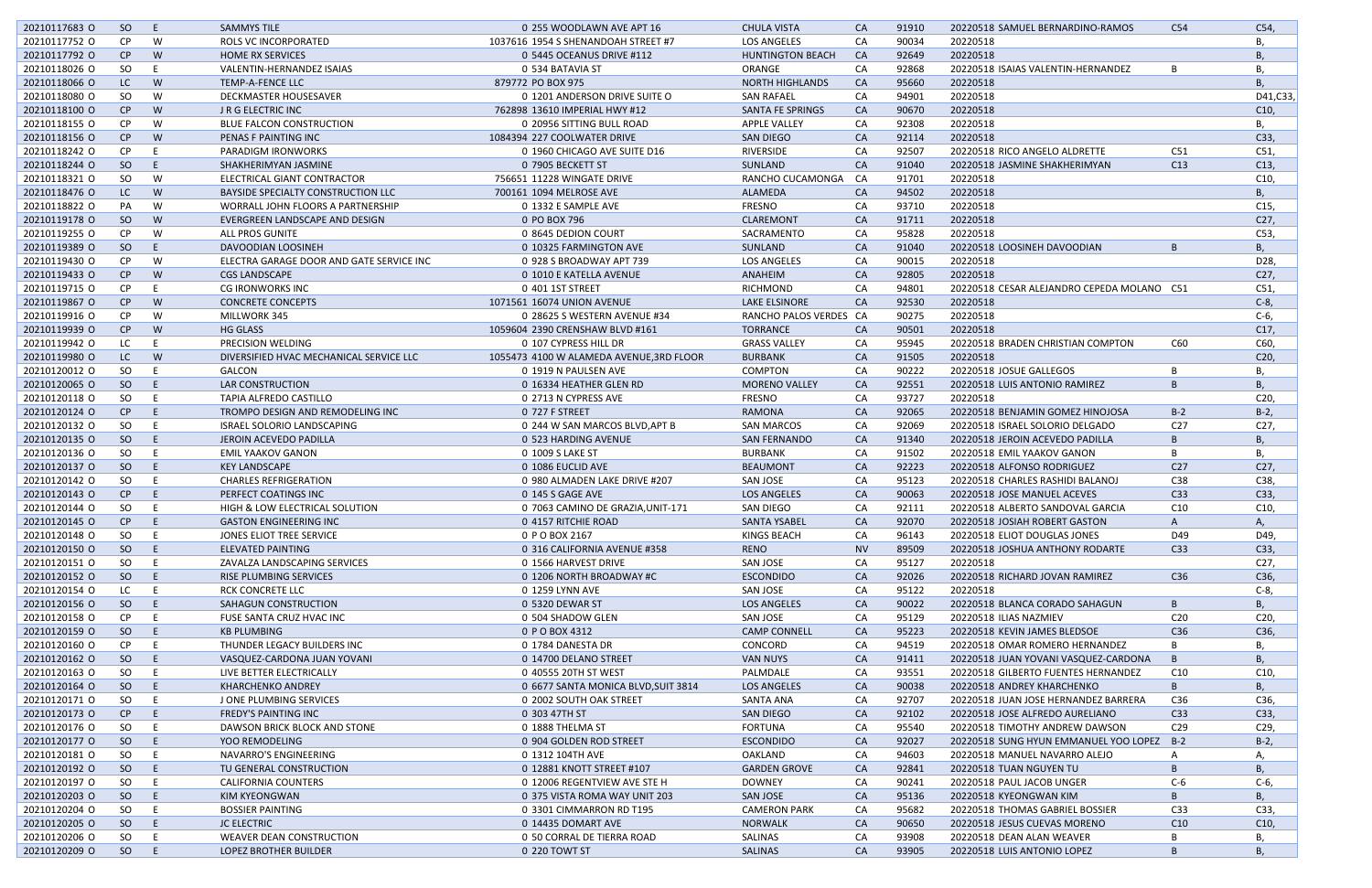| 20210117683 O | SO.       | E  | <b>SAMMYS TILE</b>                       | 0 255 WOODLAWN AVE APT 16                | <b>CHULA VISTA</b>      | <b>CA</b> | 91910 | 20220518 SAMUEL BERNARDINO-RAMOS           | C54             | C54,            |
|---------------|-----------|----|------------------------------------------|------------------------------------------|-------------------------|-----------|-------|--------------------------------------------|-----------------|-----------------|
| 20210117752 0 | CP.       | W  | ROLS VC INCORPORATED                     | 1037616 1954 S SHENANDOAH STREET #7      | <b>LOS ANGELES</b>      | CA        | 90034 | 20220518                                   |                 | В,              |
| 20210117792 0 | CP        | W  | <b>HOME RX SERVICES</b>                  | 0 5445 OCEANUS DRIVE #112                | <b>HUNTINGTON BEACH</b> | CA        | 92649 | 20220518                                   |                 | Β,              |
| 20210118026 O | SO        | E  | VALENTIN-HERNANDEZ ISAIAS                | 0 534 BATAVIA ST                         | ORANGE                  | CA        | 92868 | 20220518 ISAIAS VALENTIN-HERNANDEZ         | B               | В,              |
| 20210118066 O | LC.       | W  | <b>TEMP-A-FENCE LLC</b>                  | 879772 PO BOX 975                        | <b>NORTH HIGHLANDS</b>  | CA        | 95660 | 20220518                                   |                 | Β,              |
| 20210118080 O | SO.       | W  | <b>DECKMASTER HOUSESAVER</b>             | 0 1201 ANDERSON DRIVE SUITE O            | <b>SAN RAFAEL</b>       | CA        | 94901 | 20220518                                   |                 | D41, C33,       |
| 20210118100 O | CP        | W  | J R G ELECTRIC INC                       | 762898 13610 IMPERIAL HWY #12            | <b>SANTA FE SPRINGS</b> | CA        | 90670 | 20220518                                   |                 | C10,            |
| 20210118155 O | <b>CP</b> | W  | <b>BLUE FALCON CONSTRUCTION</b>          | 0 20956 SITTING BULL ROAD                | <b>APPLE VALLEY</b>     | CA        | 92308 | 20220518                                   |                 | В,              |
| 20210118156 O | CP        | W  | PENAS F PAINTING INC                     | 1084394 227 COOLWATER DRIVE              | <b>SAN DIEGO</b>        | CA        | 92114 | 20220518                                   |                 | C33,            |
| 20210118242 O | <b>CP</b> |    | PARADIGM IRONWORKS                       | 0 1960 CHICAGO AVE SUITE D16             | RIVERSIDE               | CA        | 92507 | 20220518 RICO ANGELO ALDRETTE              | C51             | C51,            |
| 20210118244 O | SO        | E  | SHAKHERIMYAN JASMINE                     | 0 7905 BECKETT ST                        | SUNLAND                 | CA        | 91040 | 20220518 JASMINE SHAKHERIMYAN              | C13             | C13,            |
| 20210118321 O | SO.       | W  | ELECTRICAL GIANT CONTRACTOR              | 756651 11228 WINGATE DRIVE               | RANCHO CUCAMONGA        | CA        | 91701 | 20220518                                   |                 | C10,            |
| 20210118476 O | LC.       | W  | BAYSIDE SPECIALTY CONSTRUCTION LLC       | 700161 1094 MELROSE AVE                  | ALAMEDA                 | CA        | 94502 | 20220518                                   |                 | Β,              |
| 20210118822 O | PA        | W  |                                          | 0 1332 E SAMPLE AVE                      | FRESNO                  | CA        | 93710 | 20220518                                   |                 | C15,            |
|               |           |    | WORRALL JOHN FLOORS A PARTNERSHIP        |                                          |                         |           |       |                                            |                 |                 |
| 20210119178 O | SO        | W  | EVERGREEN LANDSCAPE AND DESIGN           | 0 PO BOX 796                             | CLAREMONT               | CA        | 91711 | 20220518                                   |                 | C27,            |
| 20210119255 O | <b>CP</b> | W  | ALL PROS GUNITE                          | 0 8645 DEDION COURT                      | SACRAMENTO              | CA        | 95828 | 20220518                                   |                 | C53,            |
| 20210119389 O | SO        | E  | DAVOODIAN LOOSINEH                       | 0 10325 FARMINGTON AVE                   | SUNLAND                 | <b>CA</b> | 91040 | 20220518 LOOSINEH DAVOODIAN                | B               | Β,              |
| 20210119430 O | <b>CP</b> | W  | ELECTRA GARAGE DOOR AND GATE SERVICE INC | 0 928 S BROADWAY APT 739                 | <b>LOS ANGELES</b>      | CA        | 90015 | 20220518                                   |                 | D <sub>28</sub> |
| 20210119433 O | CP        | W  | <b>CGS LANDSCAPE</b>                     | 0 1010 E KATELLA AVENUE                  | ANAHEIM                 | <b>CA</b> | 92805 | 20220518                                   |                 | C27,            |
| 20210119715 O | <b>CP</b> | F. | <b>CG IRONWORKS INC</b>                  | 0 401 1ST STREET                         | <b>RICHMOND</b>         | CA        | 94801 | 20220518 CESAR ALEJANDRO CEPEDA MOLANO C51 |                 | C51,            |
| 20210119867 O | CP        | W  | <b>CONCRETE CONCEPTS</b>                 | 1071561 16074 UNION AVENUE               | LAKE ELSINORE           | <b>CA</b> | 92530 | 20220518                                   |                 | $C-8$ ,         |
| 20210119916 O | CP.       | W  | MILLWORK 345                             | 0 28625 S WESTERN AVENUE #34             | RANCHO PALOS VERDES CA  |           | 90275 | 20220518                                   |                 | $C-6$           |
| 20210119939 O | CP        | W  | <b>HG GLASS</b>                          | 1059604 2390 CRENSHAW BLVD #161          | <b>TORRANCE</b>         | <b>CA</b> | 90501 | 20220518                                   |                 | C17,            |
| 20210119942 O | LC        |    | PRECISION WELDING                        | 0 107 CYPRESS HILL DR                    | <b>GRASS VALLEY</b>     | CA        | 95945 | 20220518 BRADEN CHRISTIAN COMPTON          | C60             | C60,            |
| 20210119980 O | LC.       | W  | DIVERSIFIED HVAC MECHANICAL SERVICE LLC  | 1055473 4100 W ALAMEDA AVENUE, 3RD FLOOR | <b>BURBANK</b>          | CA        | 91505 | 20220518                                   |                 | C <sub>20</sub> |
| 20210120012 O | SO        | E  | GALCON                                   | 0 1919 N PAULSEN AVE                     | COMPTON                 | CA        | 90222 | 20220518 JOSUE GALLEGOS                    | B               | В,              |
| 20210120065 O | SO        | E  | <b>LAR CONSTRUCTION</b>                  | 0 16334 HEATHER GLEN RD                  | <b>MORENO VALLEY</b>    | CA        | 92551 | 20220518 LUIS ANTONIO RAMIREZ              | B               | Β,              |
| 20210120118 O | SO.       |    | TAPIA ALFREDO CASTILLO                   | 0 2713 N CYPRESS AVE                     | <b>FRESNO</b>           | CA        | 93727 | 20220518                                   |                 | C <sub>20</sub> |
| 20210120124 O | CP        | E  | TROMPO DESIGN AND REMODELING INC         | 0 727 F STREET                           | <b>RAMONA</b>           | CA        | 92065 | 20220518 BENJAMIN GOMEZ HINOJOSA           | $B-2$           | $B-2$           |
| 20210120132 O | SO        | E  | ISRAEL SOLORIO LANDSCAPING               | 0 244 W SAN MARCOS BLVD, APT B           | <b>SAN MARCOS</b>       | CA        | 92069 | 20220518 ISRAEL SOLORIO DELGADO            | C <sub>27</sub> | C27,            |
| 20210120135 O | SO        | F  | JEROIN ACEVEDO PADILLA                   | 0 523 HARDING AVENUE                     | <b>SAN FERNANDO</b>     | CA        | 91340 | 20220518 JEROIN ACEVEDO PADILLA            | B               | <b>B</b> ,      |
| 20210120136 O | SO.       |    | <b>EMIL YAAKOV GANON</b>                 | 0 1009 S LAKE ST                         | <b>BURBANK</b>          | CA        | 91502 | 20220518 EMIL YAAKOV GANON                 | B               | Β,              |
| 20210120137 O | SO        | E  | <b>KEY LANDSCAPE</b>                     | 0 1086 EUCLID AVE                        | <b>BEAUMONT</b>         | <b>CA</b> | 92223 | 20220518 ALFONSO RODRIGUEZ                 | C <sub>27</sub> | C27,            |
| 20210120142 O | SO.       |    | <b>CHARLES REFRIGERATION</b>             | 0 980 ALMADEN LAKE DRIVE #207            | SAN JOSE                | CA        | 95123 | 20220518 CHARLES RASHIDI BALANOJ           | C38             | C38,            |
| 20210120143 O | CP.       | E  | PERFECT COATINGS INC                     | 0 145 S GAGE AVE                         | LOS ANGELES             | CA        | 90063 | 20220518 JOSE MANUEL ACEVES                | C <sub>33</sub> | C33,            |
| 20210120144 O | SO        | -E | HIGH & LOW ELECTRICAL SOLUTION           | 0 7063 CAMINO DE GRAZIA, UNIT-171        | SAN DIEGO               | CA        | 92111 | 20220518 ALBERTO SANDOVAL GARCIA           | C <sub>10</sub> | C10,            |
| 20210120145 O | CP        |    | <b>GASTON ENGINEERING INC</b>            | 0 4157 RITCHIE ROAD                      | SANTA YSABEL            | CA        | 92070 | 20220518 JOSIAH ROBERT GASTON              | A               | Α,              |
| 20210120148 O | SO.       |    | JONES ELIOT TREE SERVICE                 | 0 P O BOX 2167                           | KINGS BEACH             | CA        | 96143 | 20220518 ELIOT DOUGLAS JONES               | D49             | D49,            |
| 20210120150 O | SO        | E  | <b>ELEVATED PAINTING</b>                 | 0 316 CALIFORNIA AVENUE #358             | <b>RENO</b>             | <b>NV</b> | 89509 | 20220518 JOSHUA ANTHONY RODARTE            | C <sub>33</sub> | C33,            |
| 20210120151 O | SO        |    | ZAVALZA LANDSCAPING SERVICES             | 0 1566 HARVEST DRIVE                     | SAN JOSE                | CA        | 95127 | 20220518                                   |                 | C27,            |
| 20210120152 O | SO        | E  | RISE PLUMBING SERVICES                   | 0 1206 NORTH BROADWAY #C                 | <b>ESCONDIDO</b>        | CA        | 92026 | 20220518 RICHARD JOVAN RAMIREZ             | C36             | C36,            |
|               |           |    |                                          |                                          |                         |           |       |                                            |                 |                 |
| 20210120154 O | LC        |    | RCK CONCRETE LLC                         | 0 1259 LYNN AVE                          | SAN JOSE                | CA        | 95122 | 20220518                                   |                 | $C-8$ ,         |
| 20210120156 O | SO        | E  | SAHAGUN CONSTRUCTION                     | 0 5320 DEWAR ST                          | <b>LOS ANGELES</b>      | <b>CA</b> | 90022 | 20220518 BLANCA CORADO SAHAGUN             | B               | Β,              |
| 20210120158 O | <b>CP</b> | Е  | <b>FUSE SANTA CRUZ HVAC INC</b>          | 0 504 SHADOW GLEN                        | SAN JOSE                | CA        | 95129 | 20220518 ILIAS NAZMIEV                     | C <sub>20</sub> | C20,            |
| 20210120159 O | SO        | E. | <b>KB PLUMBING</b>                       | 0 P O BOX 4312                           | <b>CAMP CONNELL</b>     | <b>CA</b> | 95223 | 20220518 KEVIN JAMES BLEDSOE               | C36             | C36,            |
| 20210120160 O | CP.       |    | THUNDER LEGACY BUILDERS INC              | 0 1784 DANESTA DR                        | CONCORD                 | CA        | 94519 | 20220518 OMAR ROMERO HERNANDEZ             | B               | В,              |
| 20210120162 O | SO        | E  | VASQUEZ-CARDONA JUAN YOVANI              | 0 14700 DELANO STREET                    | <b>VAN NUYS</b>         | CA        | 91411 | 20220518 JUAN YOVANI VASQUEZ-CARDONA       | B               | В,              |
| 20210120163 O | SO.       | E  | LIVE BETTER ELECTRICALLY                 | 0 40555 20TH ST WEST                     | PALMDALE                | CA        | 93551 | 20220518 GILBERTO FUENTES HERNANDEZ        | C <sub>10</sub> | C10,            |
| 20210120164 O | SO.       | E  | <b>KHARCHENKO ANDREY</b>                 | 0 6677 SANTA MONICA BLVD, SUIT 3814      | <b>LOS ANGELES</b>      | CA        | 90038 | 20220518 ANDREY KHARCHENKO                 | B               | Β,              |
| 20210120171 0 | SO.       |    | J ONE PLUMBING SERVICES                  | 0 2002 SOUTH OAK STREET                  | SANTA ANA               | CA        | 92707 | 20220518 JUAN JOSE HERNANDEZ BARRERA       | C36             | C36,            |
| 20210120173 O | CP        | E  | <b>FREDY'S PAINTING INC</b>              | 0 303 47TH ST                            | SAN DIEGO               | CA        | 92102 | 20220518 JOSE ALFREDO AURELIANO            | C33             | C33,            |
| 20210120176 O | SO.       |    | DAWSON BRICK BLOCK AND STONE             | 0 1888 THELMA ST                         | <b>FORTUNA</b>          | CA        | 95540 | 20220518 TIMOTHY ANDREW DAWSON             | C <sub>29</sub> | C29,            |
| 20210120177 0 | SO.       | E  | YOO REMODELING                           | 0 904 GOLDEN ROD STREET                  | <b>ESCONDIDO</b>        | CA        | 92027 | 20220518 SUNG HYUN EMMANUEL YOO LOPEZ B-2  |                 | $B-2$ ,         |
| 20210120181 O | SO        | E  | NAVARRO'S ENGINEERING                    | 0 1312 104TH AVE                         | <b>OAKLAND</b>          | CA        | 94603 | 20220518 MANUEL NAVARRO ALEJO              | A               | А,              |
| 20210120192 O | SO        | E  | TU GENERAL CONSTRUCTION                  | 0 12881 KNOTT STREET #107                | <b>GARDEN GROVE</b>     | CA        | 92841 | 20220518 TUAN NGUYEN TU                    | B               | Β,              |
| 20210120197 O | SO.       |    | <b>CALIFORNIA COUNTERS</b>               | 0 12006 REGENTVIEW AVE STE H             | <b>DOWNEY</b>           | CA        | 90241 | 20220518 PAUL JACOB UNGER                  | $C-6$           | C-6,            |
| 20210120203 O | SO        | E  | <b>KIM KYEONGWAN</b>                     | 0 375 VISTA ROMA WAY UNIT 203            | <b>SAN JOSE</b>         | CA        | 95136 | 20220518 KYEONGWAN KIM                     | B               | Β,              |
| 20210120204 O | SO.       |    | <b>BOSSIER PAINTING</b>                  | 0 3301 CIMMARRON RD T195                 | <b>CAMERON PARK</b>     | CA        | 95682 | 20220518 THOMAS GABRIEL BOSSIER            | C <sub>33</sub> | C33,            |
| 20210120205 O | SO.       | E  | <b>JC ELECTRIC</b>                       | 0 14435 DOMART AVE                       | <b>NORWALK</b>          | <b>CA</b> | 90650 | 20220518 JESUS CUEVAS MORENO               | C10             | C10,            |
| 20210120206 O | SO.       |    | WEAVER DEAN CONSTRUCTION                 | 0 50 CORRAL DE TIERRA ROAD               | SALINAS                 | CA        | 93908 | 20220518 DEAN ALAN WEAVER                  | В               | В,              |
| 20210120209 O | SO        | Ε  | LOPEZ BROTHER BUILDER                    | 0 220 TOWT ST                            | SALINAS                 | CA        | 93905 | 20220518 LUIS ANTONIO LOPEZ                | B               | <b>B</b> ,      |
|               |           |    |                                          |                                          |                         |           |       |                                            |                 |                 |